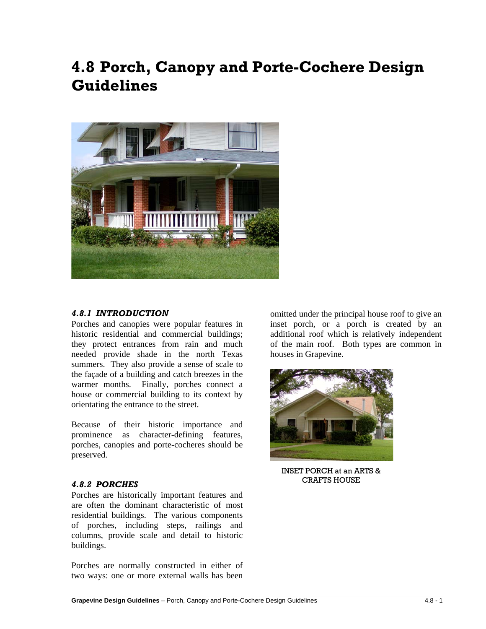# **4.8 Porch, Canopy and Porte-Cochere Design Guidelines**



#### *4.8.1 INTRODUCTION*

Porches and canopies were popular features in historic residential and commercial buildings; they protect entrances from rain and much needed provide shade in the north Texas summers. They also provide a sense of scale to the façade of a building and catch breezes in the warmer months. Finally, porches connect a house or commercial building to its context by orientating the entrance to the street.

Because of their historic importance and prominence as character-defining features, porches, canopies and porte-cocheres should be preserved.

#### *4.8.2 PORCHES*

Porches are historically important features and are often the dominant characteristic of most residential buildings. The various components of porches, including steps, railings and columns, provide scale and detail to historic buildings.

Porches are normally constructed in either of two ways: one or more external walls has been

omitted under the principal house roof to give an inset porch, or a porch is created by an additional roof which is relatively independent of the main roof. Both types are common in houses in Grapevine.



INSET PORCH at an ARTS & CRAFTS HOUSE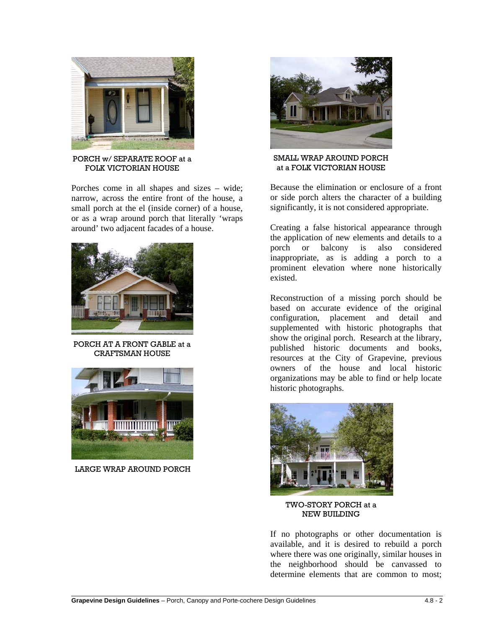

PORCH w/ SEPARATE ROOF at a FOLK VICTORIAN HOUSE

Porches come in all shapes and sizes – wide; narrow, across the entire front of the house, a small porch at the el (inside corner) of a house, or as a wrap around porch that literally 'wraps around' two adjacent facades of a house.



PORCH AT A FRONT GABLE at a CRAFTSMAN HOUSE



LARGE WRAP AROUND PORCH



SMALL WRAP AROUND PORCH at a FOLK VICTORIAN HOUSE

Because the elimination or enclosure of a front or side porch alters the character of a building significantly, it is not considered appropriate.

Creating a false historical appearance through the application of new elements and details to a porch or balcony is also considered inappropriate, as is adding a porch to a prominent elevation where none historically existed.

Reconstruction of a missing porch should be based on accurate evidence of the original configuration, placement and detail and supplemented with historic photographs that show the original porch. Research at the library, published historic documents and books, resources at the City of Grapevine, previous owners of the house and local historic organizations may be able to find or help locate historic photographs.



TWO-STORY PORCH at a NEW BUILDING

If no photographs or other documentation is available, and it is desired to rebuild a porch where there was one originally, similar houses in the neighborhood should be canvassed to determine elements that are common to most;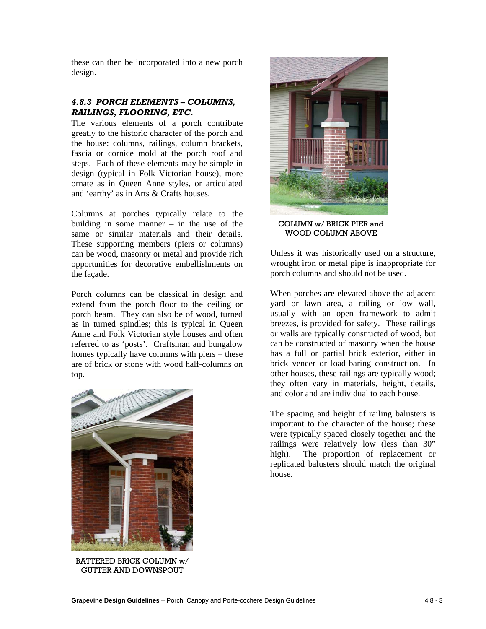these can then be incorporated into a new porch design.

#### *4.8.3 PORCH ELEMENTS – COLUMNS, RAILINGS, FLOORING, ETC.*

The various elements of a porch contribute greatly to the historic character of the porch and the house: columns, railings, column brackets, fascia or cornice mold at the porch roof and steps. Each of these elements may be simple in design (typical in Folk Victorian house), more ornate as in Queen Anne styles, or articulated and 'earthy' as in Arts & Crafts houses.

Columns at porches typically relate to the building in some manner – in the use of the same or similar materials and their details. These supporting members (piers or columns) can be wood, masonry or metal and provide rich opportunities for decorative embellishments on the façade.

Porch columns can be classical in design and extend from the porch floor to the ceiling or porch beam. They can also be of wood, turned as in turned spindles; this is typical in Queen Anne and Folk Victorian style houses and often referred to as 'posts'. Craftsman and bungalow homes typically have columns with piers – these are of brick or stone with wood half-columns on top.



BATTERED BRICK COLUMN w/ GUTTER AND DOWNSPOUT



COLUMN w/ BRICK PIER and WOOD COLUMN ABOVE

Unless it was historically used on a structure, wrought iron or metal pipe is inappropriate for porch columns and should not be used.

When porches are elevated above the adjacent yard or lawn area, a railing or low wall, usually with an open framework to admit breezes, is provided for safety. These railings or walls are typically constructed of wood, but can be constructed of masonry when the house has a full or partial brick exterior, either in brick veneer or load-baring construction. In other houses, these railings are typically wood; they often vary in materials, height, details, and color and are individual to each house.

The spacing and height of railing balusters is important to the character of the house; these were typically spaced closely together and the railings were relatively low (less than 30" high). The proportion of replacement or replicated balusters should match the original house.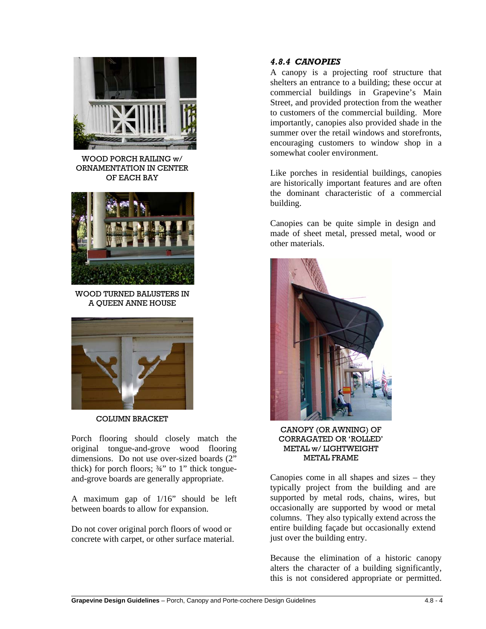

WOOD PORCH RAILING w/ ORNAMENTATION IN CENTER OF EACH BAY



WOOD TURNED BALUSTERS IN A QUEEN ANNE HOUSE



COLUMN BRACKET

Porch flooring should closely match the original tongue-and-grove wood flooring dimensions. Do not use over-sized boards (2" thick) for porch floors;  $\frac{3}{4}$ " to 1" thick tongueand-grove boards are generally appropriate.

A maximum gap of 1/16" should be left between boards to allow for expansion.

Do not cover original porch floors of wood or concrete with carpet, or other surface material.

# *4.8.4 CANOPIES*

A canopy is a projecting roof structure that shelters an entrance to a building; these occur at commercial buildings in Grapevine's Main Street, and provided protection from the weather to customers of the commercial building. More importantly, canopies also provided shade in the summer over the retail windows and storefronts, encouraging customers to window shop in a somewhat cooler environment.

Like porches in residential buildings, canopies are historically important features and are often the dominant characteristic of a commercial building.

Canopies can be quite simple in design and made of sheet metal, pressed metal, wood or other materials.



CANOPY (OR AWNING) OF CORRAGATED OR 'ROLLED' METAL w/ LIGHTWEIGHT METAL FRAME

Canopies come in all shapes and sizes – they typically project from the building and are supported by metal rods, chains, wires, but occasionally are supported by wood or metal columns. They also typically extend across the entire building façade but occasionally extend just over the building entry.

Because the elimination of a historic canopy alters the character of a building significantly, this is not considered appropriate or permitted.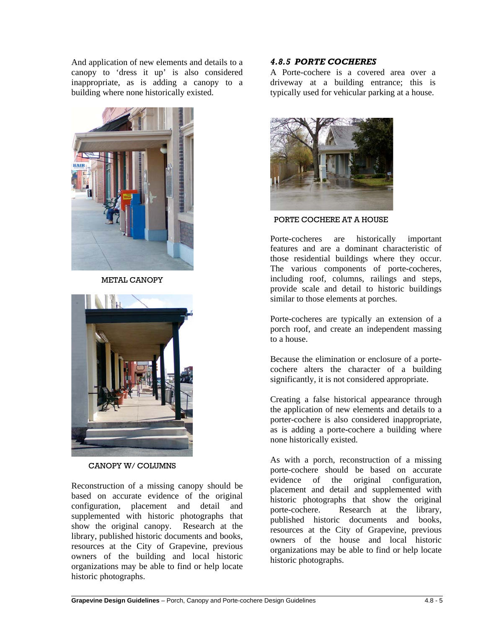And application of new elements and details to a canopy to 'dress it up' is also considered inappropriate, as is adding a canopy to a building where none historically existed.



METAL CANOPY



CANOPY W/ COLUMNS

Reconstruction of a missing canopy should be based on accurate evidence of the original configuration, placement and detail and supplemented with historic photographs that show the original canopy. Research at the library, published historic documents and books, resources at the City of Grapevine, previous owners of the building and local historic organizations may be able to find or help locate historic photographs.

## *4.8.5 PORTE COCHERES*

A Porte-cochere is a covered area over a driveway at a building entrance; this is typically used for vehicular parking at a house.



PORTE COCHERE AT A HOUSE

Porte-cocheres are historically important features and are a dominant characteristic of those residential buildings where they occur. The various components of porte-cocheres, including roof, columns, railings and steps, provide scale and detail to historic buildings similar to those elements at porches.

Porte-cocheres are typically an extension of a porch roof, and create an independent massing to a house.

Because the elimination or enclosure of a portecochere alters the character of a building significantly, it is not considered appropriate.

Creating a false historical appearance through the application of new elements and details to a porter-cochere is also considered inappropriate, as is adding a porte-cochere a building where none historically existed.

As with a porch, reconstruction of a missing porte-cochere should be based on accurate evidence of the original configuration, placement and detail and supplemented with historic photographs that show the original porte-cochere. Research at the library, published historic documents and books, resources at the City of Grapevine, previous owners of the house and local historic organizations may be able to find or help locate historic photographs.